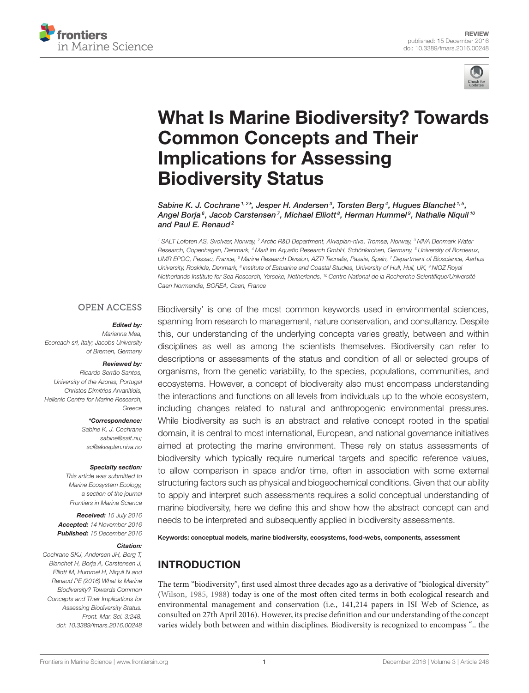



# [What Is Marine Biodiversity? Towards](http://journal.frontiersin.org/article/10.3389/fmars.2016.00248/abstract) Common Concepts and Their Implications for Assessing Biodiversity Status

[Sabine K. J. Cochrane](http://loop.frontiersin.org/people/161591/overview)<sup>1,2\*</sup>, [Jesper H. Andersen](http://loop.frontiersin.org/people/132428/overview)<sup>3</sup>, [Torsten Berg](http://loop.frontiersin.org/people/167117/overview)<sup>4</sup>, [Hugues Blanchet](http://loop.frontiersin.org/people/358216/overview)<sup>1,5</sup>, [Angel Borja](http://loop.frontiersin.org/people/122377/overview)<sup>s</sup>, [Jacob Carstensen](http://loop.frontiersin.org/people/139926/overview)<sup>7</sup>, [Michael Elliott](http://loop.frontiersin.org/people/306706/overview)<sup>8</sup>, [Herman Hummel](http://loop.frontiersin.org/people/396730/overview)<sup>9</sup>, [Nathalie Niquil](http://loop.frontiersin.org/people/101385/overview) <sup>10</sup> and [Paul E. Renaud](http://loop.frontiersin.org/people/140689/overview)<sup>2</sup>

<sup>1</sup> SALT Lofoten AS, Svolvær, Norway, <sup>2</sup> Arctic R&D Department, Akvaplan-niva, Tromsø, Norway, <sup>3</sup> NIVA Denmark Water Research, Copenhagen, Denmark, <sup>4</sup> MariLim Aquatic Research GmbH, Schönkirchen, Germany, <sup>5</sup> University of Bordeaux, UMR EPOC, Pessac, France, <sup>6</sup> Marine Research Division, AZTI Tecnalia, Pasaia, Spain, <sup>7</sup> Department of Bioscience, Aarhus University, Roskilde, Denmark, <sup>8</sup> Institute of Estuarine and Coastal Studies, University of Hull, Hull, UK, <sup>9</sup> NIOZ Royal Netherlands Institute for Sea Research, Yerseke, Netherlands, <sup>10</sup> Centre National de la Recherche Scientifique/Université Caen Normandie, BOREA, Caen, France

#### **OPEN ACCESS**

#### Edited by:

Marianna Mea, Ecoreach srl, Italy; Jacobs University of Bremen, Germany

#### Reviewed by:

Ricardo Serrão Santos, University of the Azores, Portugal Christos Dimitrios Arvanitidis, Hellenic Centre for Marine Research, Greece

\*Correspondence:

Sabine K. J. Cochrane [sabine@salt.nu;](mailto:sabine@salt.nu) [sc@akvaplan.niva.no](mailto:sc@akvaplan.niva.no)

#### Specialty section:

This article was submitted to Marine Ecosystem Ecology, a section of the journal Frontiers in Marine Science

Received: 15 July 2016 Accepted: 14 November 2016 Published: 15 December 2016

#### Citation:

Cochrane SKJ, Andersen JH, Berg T, Blanchet H, Borja A, Carstensen J, Elliott M, Hummel H, Niquil N and Renaud PE (2016) What Is Marine Biodiversity? Towards Common Concepts and Their Implications for Assessing Biodiversity Status. Front. Mar. Sci. 3:248. doi: [10.3389/fmars.2016.00248](https://doi.org/10.3389/fmars.2016.00248)

Biodiversity' is one of the most common keywords used in environmental sciences, spanning from research to management, nature conservation, and consultancy. Despite this, our understanding of the underlying concepts varies greatly, between and within disciplines as well as among the scientists themselves. Biodiversity can refer to descriptions or assessments of the status and condition of all or selected groups of organisms, from the genetic variability, to the species, populations, communities, and ecosystems. However, a concept of biodiversity also must encompass understanding the interactions and functions on all levels from individuals up to the whole ecosystem, including changes related to natural and anthropogenic environmental pressures. While biodiversity as such is an abstract and relative concept rooted in the spatial domain, it is central to most international, European, and national governance initiatives aimed at protecting the marine environment. These rely on status assessments of biodiversity which typically require numerical targets and specific reference values, to allow comparison in space and/or time, often in association with some external structuring factors such as physical and biogeochemical conditions. Given that our ability to apply and interpret such assessments requires a solid conceptual understanding of marine biodiversity, here we define this and show how the abstract concept can and needs to be interpreted and subsequently applied in biodiversity assessments.

Keywords: conceptual models, marine biodiversity, ecosystems, food-webs, components, assessment

# INTRODUCTION

The term "biodiversity", first used almost three decades ago as a derivative of "biological diversity" [\(Wilson, 1985,](#page-13-0) [1988\)](#page-13-1) today is one of the most often cited terms in both ecological research and environmental management and conservation (i.e., 141,214 papers in ISI Web of Science, as consulted on 27th April 2016). However, its precise definition and our understanding of the concept varies widely both between and within disciplines. Biodiversity is recognized to encompass ".. the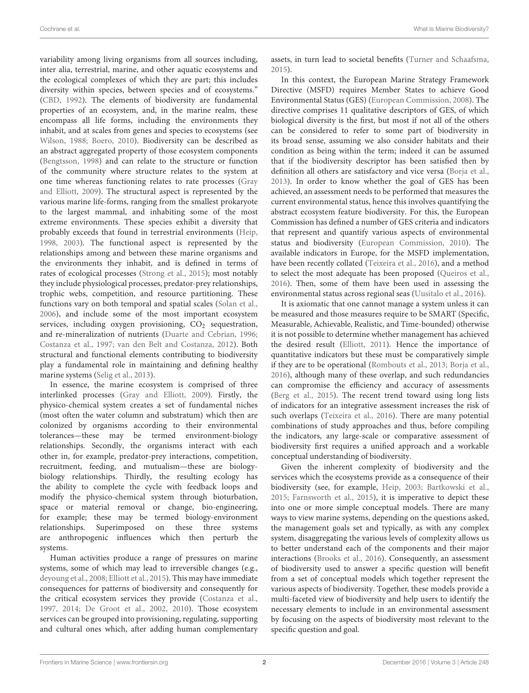variability among living organisms from all sources including, inter alia, terrestrial, marine, and other aquatic ecosystems and the ecological complexes of which they are part; this includes diversity within species, between species and of ecosystems." [\(CBD, 1992\)](#page-11-0). The elements of biodiversity are fundamental properties of an ecosystem, and, in the marine realm, these encompass all life forms, including the environments they inhabit, and at scales from genes and species to ecosystems (see [Wilson, 1988;](#page-13-1) [Boero, 2010\)](#page-11-1). Biodiversity can be described as an abstract aggregated property of those ecosystem components [\(Bengtsson, 1998\)](#page-11-2) and can relate to the structure or function of the community where structure relates to the system at one time whereas functioning relates to rate processes (Gray and Elliott, [2009\)](#page-12-0). The structural aspect is represented by the various marine life-forms, ranging from the smallest prokaryote to the largest mammal, and inhabiting some of the most extreme environments. These species exhibit a diversity that probably exceeds that found in terrestrial environments [\(Heip,](#page-12-1) [1998,](#page-12-1) [2003\)](#page-12-2). The functional aspect is represented by the relationships among and between these marine organisms and the environments they inhabit, and is defined in terms of rates of ecological processes [\(Strong et al., 2015\)](#page-13-2); most notably they include physiological processes, predator-prey relationships, trophic webs, competition, and resource partitioning. These functions vary on both temporal and spatial scales [\(Solan et al.,](#page-13-3) [2006\)](#page-13-3), and include some of the most important ecosystem services, including oxygen provisioning,  $CO<sub>2</sub>$  sequestration, and re-mineralization of nutrients [\(Duarte and Cebrian, 1996;](#page-11-3) [Costanza et al., 1997;](#page-11-4) [van den Belt and Costanza, 2012\)](#page-13-4). Both structural and functional elements contributing to biodiversity play a fundamental role in maintaining and defining healthy marine systems [\(Selig et al., 2013\)](#page-13-5).

In essence, the marine ecosystem is comprised of three interlinked processes [\(Gray and Elliott, 2009\)](#page-12-0). Firstly, the physico-chemical system creates a set of fundamental niches (most often the water column and substratum) which then are colonized by organisms according to their environmental tolerances—these may be termed environment-biology relationships. Secondly, the organisms interact with each other in, for example, predator-prey interactions, competition, recruitment, feeding, and mutualism—these are biologybiology relationships. Thirdly, the resulting ecology has the ability to complete the cycle with feedback loops and modify the physico-chemical system through bioturbation, space or material removal or change, bio-engineering, for example; these may be termed biology-environment relationships. Superimposed on these three systems are anthropogenic influences which then perturb the systems.

Human activities produce a range of pressures on marine systems, some of which may lead to irreversible changes (e.g., [deyoung et al., 2008;](#page-11-5) [Elliott et al., 2015\)](#page-11-6). This may have immediate consequences for patterns of biodiversity and consequently for the critical ecosystem services they provide [\(Costanza et al.,](#page-11-4) [1997,](#page-11-4) [2014;](#page-11-7) [De Groot et al., 2002,](#page-11-8) [2010\)](#page-11-9). Those ecosystem services can be grouped into provisioning, regulating, supporting and cultural ones which, after adding human complementary assets, in turn lead to societal benefits [\(Turner and Schaafsma,](#page-13-6) [2015\)](#page-13-6).

In this context, the European Marine Strategy Framework Directive (MSFD) requires Member States to achieve Good Environmental Status (GES) [\(European Commission, 2008\)](#page-11-10). The directive comprises 11 qualitative descriptors of GES, of which biological diversity is the first, but most if not all of the others can be considered to refer to some part of biodiversity in its broad sense, assuming we also consider habitats and their condition as being within the term; indeed it can be assumed that if the biodiversity descriptor has been satisfied then by definition all others are satisfactory and vice versa [\(Borja et al.,](#page-11-11) [2013\)](#page-11-11). In order to know whether the goal of GES has been achieved, an assessment needs to be performed that measures the current environmental status, hence this involves quantifying the abstract ecosystem feature biodiversity. For this, the European Commission has defined a number of GES criteria and indicators that represent and quantify various aspects of environmental status and biodiversity [\(European Commission, 2010\)](#page-11-12). The available indicators in Europe, for the MSFD implementation, have been recently collated [\(Teixeira et al., 2016\)](#page-13-7), and a method to select the most adequate has been proposed [\(Queiros et al.,](#page-12-3) [2016\)](#page-12-3). Then, some of them have been used in assessing the environmental status across regional seas [\(Uusitalo et al., 2016\)](#page-13-8).

It is axiomatic that one cannot manage a system unless it can be measured and those measures require to be SMART (Specific, Measurable, Achievable, Realistic, and Time-bounded) otherwise it is not possible to determine whether management has achieved the desired result [\(Elliott, 2011\)](#page-11-13). Hence the importance of quantitative indicators but these must be comparatively simple if they are to be operational [\(Rombouts et al., 2013;](#page-12-4) [Borja et al.,](#page-11-14) [2016\)](#page-11-14), although many of these overlap, and such redundancies can compromise the efficiency and accuracy of assessments [\(Berg et al., 2015\)](#page-11-15). The recent trend toward using long lists of indicators for an integrative assessment increases the risk of such overlaps [\(Teixeira et al., 2016\)](#page-13-7). There are many potential combinations of study approaches and thus, before compiling the indicators, any large-scale or comparative assessment of biodiversity first requires a unified approach and a workable conceptual understanding of biodiversity.

Given the inherent complexity of biodiversity and the services which the ecosystems provide as a consequence of their biodiversity (see, for example, [Heip, 2003;](#page-12-2) [Bartkowski et al.,](#page-11-16) [2015;](#page-11-16) [Farnsworth et al., 2015\)](#page-11-17), it is imperative to depict these into one or more simple conceptual models. There are many ways to view marine systems, depending on the questions asked, the management goals set and typically, as with any complex system, disaggregating the various levels of complexity allows us to better understand each of the components and their major interactions [\(Brooks et al., 2016\)](#page-11-18). Consequently, an assessment of biodiversity used to answer a specific question will benefit from a set of conceptual models which together represent the various aspects of biodiversity. Together, these models provide a multi-faceted view of biodiversity and help users to identify the necessary elements to include in an environmental assessment by focusing on the aspects of biodiversity most relevant to the specific question and goal.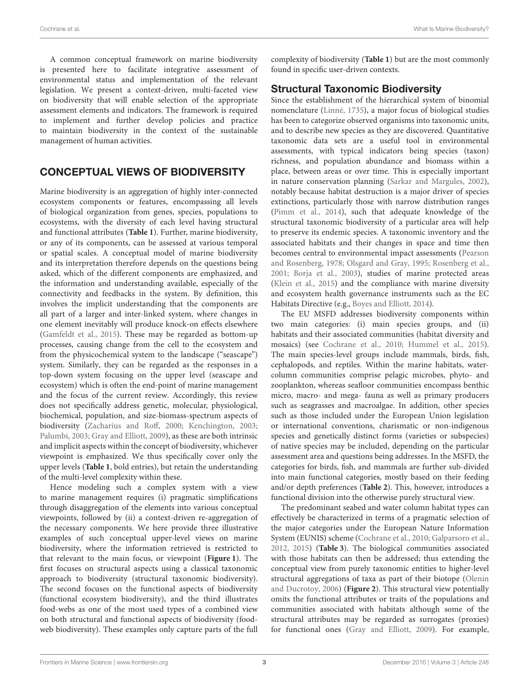A common conceptual framework on marine biodiversity is presented here to facilitate integrative assessment of environmental status and implementation of the relevant legislation. We present a context-driven, multi-faceted view on biodiversity that will enable selection of the appropriate assessment elements and indicators. The framework is required to implement and further develop policies and practice to maintain biodiversity in the context of the sustainable management of human activities.

## CONCEPTUAL VIEWS OF BIODIVERSITY

Marine biodiversity is an aggregation of highly inter-connected ecosystem components or features, encompassing all levels of biological organization from genes, species, populations to ecosystems, with the diversity of each level having structural and functional attributes (**[Table 1](#page-3-0)**). Further, marine biodiversity, or any of its components, can be assessed at various temporal or spatial scales. A conceptual model of marine biodiversity and its interpretation therefore depends on the questions being asked, which of the different components are emphasized, and the information and understanding available, especially of the connectivity and feedbacks in the system. By definition, this involves the implicit understanding that the components are all part of a larger and inter-linked system, where changes in one element inevitably will produce knock-on effects elsewhere [\(Gamfeldt et al., 2015\)](#page-12-5). These may be regarded as bottom-up processes, causing change from the cell to the ecosystem and from the physicochemical system to the landscape ("seascape") system. Similarly, they can be regarded as the responses in a top-down system focusing on the upper level (seascape and ecosystem) which is often the end-point of marine management and the focus of the current review. Accordingly, this review does not specifically address genetic, molecular, physiological, biochemical, population, and size-biomass-spectrum aspects of biodiversity [\(Zacharius and Roff, 2000;](#page-13-9) [Kenchington, 2003;](#page-12-6) [Palumbi, 2003;](#page-12-7) [Gray and Elliott, 2009\)](#page-12-0), as these are both intrinsic and implicit aspects within the concept of biodiversity, whichever viewpoint is emphasized. We thus specifically cover only the upper levels (**[Table 1](#page-3-0)**, bold entries), but retain the understanding of the multi-level complexity within these.

Hence modeling such a complex system with a view to marine management requires (i) pragmatic simplifications through disaggregation of the elements into various conceptual viewpoints, followed by (ii) a context-driven re-aggregation of the necessary components. We here provide three illustrative examples of such conceptual upper-level views on marine biodiversity, where the information retrieved is restricted to that relevant to the main focus, or viewpoint (**[Figure 1](#page-3-1)**). The first focuses on structural aspects using a classical taxonomic approach to biodiversity (structural taxonomic biodiversity). The second focuses on the functional aspects of biodiversity (functional ecosystem biodiversity), and the third illustrates food-webs as one of the most used types of a combined view on both structural and functional aspects of biodiversity (foodweb biodiversity). These examples only capture parts of the full complexity of biodiversity (**[Table 1](#page-3-0)**) but are the most commonly found in specific user-driven contexts.

### Structural Taxonomic Biodiversity

Since the establishment of the hierarchical system of binomial nomenclature [\(Linné, 1735\)](#page-12-8), a major focus of biological studies has been to categorize observed organisms into taxonomic units, and to describe new species as they are discovered. Quantitative taxonomic data sets are a useful tool in environmental assessments, with typical indicators being species (taxon) richness, and population abundance and biomass within a place, between areas or over time. This is especially important in nature conservation planning [\(Sarkar and Margules, 2002\)](#page-12-9), notably because habitat destruction is a major driver of species extinctions, particularly those with narrow distribution ranges [\(Pimm et al., 2014\)](#page-12-10), such that adequate knowledge of the structural taxonomic biodiversity of a particular area will help to preserve its endemic species. A taxonomic inventory and the associated habitats and their changes in space and time then becomes central to environmental impact assessments (Pearson and Rosenberg, [1978;](#page-12-11) [Olsgard and Gray, 1995;](#page-12-12) [Rosenberg et al.,](#page-12-13) [2001;](#page-12-13) [Borja et al., 2003\)](#page-11-19), studies of marine protected areas [\(Klein et al., 2015\)](#page-12-14) and the compliance with marine diversity and ecosystem health governance instruments such as the EC Habitats Directive (e.g., [Boyes and Elliott, 2014\)](#page-11-20).

The EU MSFD addresses biodiversity components within two main categories: (i) main species groups, and (ii) habitats and their associated communities (habitat diversity and mosaics) (see [Cochrane et al., 2010;](#page-11-21) [Hummel et al., 2015\)](#page-12-15). The main species-level groups include mammals, birds, fish, cephalopods, and reptiles. Within the marine habitats, watercolumn communities comprise pelagic microbes, phyto- and zooplankton, whereas seafloor communities encompass benthic micro, macro- and mega- fauna as well as primary producers such as seagrasses and macroalgae. In addition, other species such as those included under the European Union legislation or international conventions, charismatic or non-indigenous species and genetically distinct forms (varieties or subspecies) of native species may be included, depending on the particular assessment area and questions being addresses. In the MSFD, the categories for birds, fish, and mammals are further sub-divided into main functional categories, mostly based on their feeding and/or depth preferences (**[Table 2](#page-3-2)**). This, however, introduces a functional division into the otherwise purely structural view.

The predominant seabed and water column habitat types can effectively be characterized in terms of a pragmatic selection of the major categories under the European Nature Information System (EUNIS) scheme [\(Cochrane et al., 2010;](#page-11-21) [Galparsoro et al.,](#page-11-22) [2012,](#page-11-22) [2015\)](#page-12-16) (**[Table 3](#page-4-0)**). The biological communities associated with those habitats can then be addressed; thus extending the conceptual view from purely taxonomic entities to higher-level structural aggregations of taxa as part of their biotope (Olenin and Ducrotoy, [2006\)](#page-12-17) (**[Figure 2](#page-4-1)**). This structural view potentially omits the functional attributes or traits of the populations and communities associated with habitats although some of the structural attributes may be regarded as surrogates (proxies) for functional ones [\(Gray and Elliott, 2009\)](#page-12-0). For example,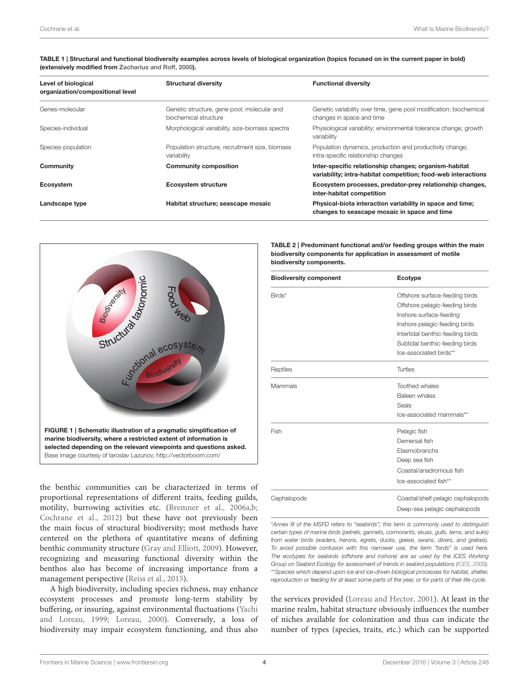| Level of biological<br>organization/compositional level | <b>Structural diversity</b>                                          | <b>Functional diversity</b>                                                                                            |  |
|---------------------------------------------------------|----------------------------------------------------------------------|------------------------------------------------------------------------------------------------------------------------|--|
| Genes-molecular                                         | Genetic structure, gene pool; molecular and<br>biochemical structure | Genetic variability over time, gene pool modification; biochemical<br>changes in space and time                        |  |
| Species-individual                                      | Morphological variability, size-biomass spectra                      | Physiological variability; environmental tolerance change; growth<br>variability                                       |  |
| Species-population                                      | Population structure, recruitment size, biomass<br>variability       | Population dynamics, production and productivity change;<br>intra-specific relationship changes                        |  |
| Community                                               | <b>Community composition</b>                                         | Inter-specific relationship changes; organism-habitat<br>variability; intra-habitat competition; food-web interactions |  |
| Ecosystem                                               | <b>Ecosystem structure</b>                                           | Ecosystem processes, predator-prey relationship changes,<br>inter-habitat competition                                  |  |
| Landscape type                                          | Habitat structure; seascape mosaic                                   | Physical-biota interaction variability in space and time;<br>changes to seascape mosaic in space and time              |  |

<span id="page-3-0"></span>TABLE 1 | Structural and functional biodiversity examples across levels of biological organization (topics focused on in the current paper in bold) (extensively modified from [Zacharius and Roff, 2000\)](#page-13-9).



<span id="page-3-1"></span>the benthic communities can be characterized in terms of proportional representations of different traits, feeding guilds, motility, burrowing activities etc. [\(Bremner et al., 2006a](#page-11-23)[,b;](#page-11-24) [Cochrane et al., 2012\)](#page-11-25) but these have not previously been the main focus of structural biodiversity; most methods have centered on the plethora of quantitative means of defining benthic community structure [\(Gray and Elliott, 2009\)](#page-12-0). However, recognizing and measuring functional diversity within the benthos also has become of increasing importance from a management perspective [\(Reiss et al., 2015\)](#page-12-18).

A high biodiversity, including species richness, may enhance ecosystem processes and promote long-term stability by buffering, or insuring, against environmental fluctuations (Yachi and Loreau, [1999;](#page-13-10) [Loreau, 2000\)](#page-12-19). Conversely, a loss of biodiversity may impair ecosystem functioning, and thus also

<span id="page-3-2"></span>TABLE 2 | Predominant functional and/or feeding groups within the main biodiversity components for application in assessment of motile biodiversity components.

| <b>Biodiversity component</b> | Ecotype                           |  |
|-------------------------------|-----------------------------------|--|
| Birds*                        | Offshore surface-feeding birds    |  |
|                               | Offshore pelagic-feeding birds    |  |
|                               | Inshore surface-feeding           |  |
|                               | Inshore pelagic-feeding birds     |  |
|                               | Intertidal benthic-feeding birds  |  |
|                               | Subtidal benthic-feeding birds    |  |
|                               | Ice-associated birds**            |  |
| Reptiles                      | Turtles                           |  |
| Mammals                       | <b>Toothed whales</b>             |  |
|                               | Baleen whales                     |  |
|                               | Seals                             |  |
|                               | Ice-associated mammals**          |  |
| Fish                          | Pelagic fish                      |  |
|                               | Demersal fish                     |  |
|                               | <b>Elasmobranchs</b>              |  |
|                               | Deep sea fish                     |  |
|                               | Coastal/anadromous fish           |  |
|                               | Ice-associated fish**             |  |
| Cephalopods                   | Coastal/shelf pelagic cephalopods |  |
|                               | Deep-sea pelagic cephalopods      |  |

\*Annex III of the MSFD refers to "seabirds"; this term is commonly used to distinguish certain types of marine birds (petrels, gannets, cormorants, skuas, gulls, terns, and auks) from water birds (waders, herons, egrets, ducks, geese, swans, divers, and grebes). To avoid possible confusion with this narrower use, the term "birds" is used here. The ecotypes for seabirds (offshore and inshore) are as used by the ICES Working Group on Seabird Ecology for assessment of trends in seabird populations [\(ICES, 2009\)](#page-12-20). \*\*Species which depend upon ice and ice-driven biological processes for habitat, shelter, reproduction or feeding for at least some parts of the year, or for parts of their life-cycle.

the services provided [\(Loreau and Hector, 2001\)](#page-12-21). At least in the marine realm, habitat structure obviously influences the number of niches available for colonization and thus can indicate the number of types (species, traits, etc.) which can be supported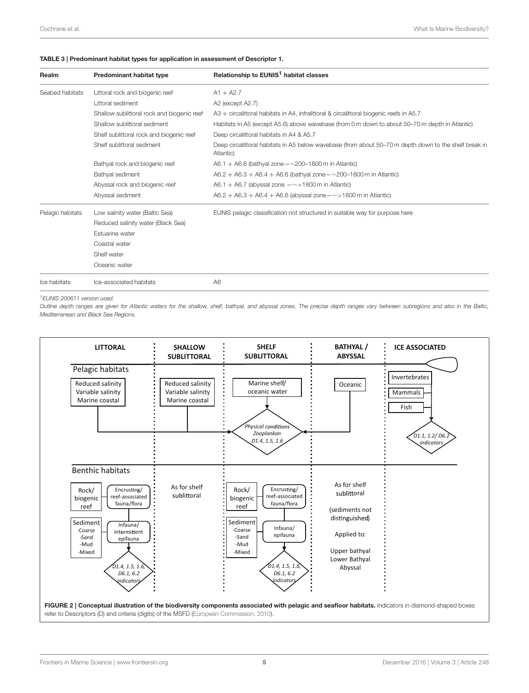#### <span id="page-4-0"></span>TABLE 3 | Predominant habitat types for application in assessment of Descriptor 1.

| Realm            | Predominant habitat type                   | Relationship to EUNIS <sup>1</sup> habitat classes                                                                 |
|------------------|--------------------------------------------|--------------------------------------------------------------------------------------------------------------------|
| Seabed habitats  | Littoral rock and biogenic reef            | $A1 + A2.7$                                                                                                        |
|                  | Littoral sediment                          | A2 (except A2.7)                                                                                                   |
|                  | Shallow sublittoral rock and biogenic reef | A3 + circalittoral habitats in A4, infralittoral & circalittoral biogenic reefs in A5.7                            |
|                  | Shallow sublittoral sediment               | Habitats in A5 (except A5.6) above wavebase (from 0 m down to about 50–70 m depth in Atlantic)                     |
|                  | Shelf sublittoral rock and biogenic reef   | Deep circalittoral habitats in A4 & A5.7                                                                           |
|                  | Shelf sublittoral sediment                 | Deep circalittoral habitats in A5 below wavebase (from about 50-70 m depth down to the shelf break in<br>Atlantic) |
|                  | Bathyal rock and biogenic reef             | A6.1 + A6.6 (bathyal zone $-\sim$ 200-1800 m in Atlantic)                                                          |
|                  | Bathyal sediment                           | $A6.2 + A6.3 + A6.4 + A6.6$ (bathyal zone $-\sim$ 200-1800 m in Atlantic)                                          |
|                  | Abyssal rock and biogenic reef             | A6.1 + A6.7 (abyssal zone $-\sim$ > 1800 m in Atlantic)                                                            |
|                  | Abyssal sediment                           | $A6.2 + A6.3 + A6.4 + A6.6$ (abyssal zone $-\sim$ > 1800 m in Atlantic)                                            |
| Pelagic habitats | Low salinity water (Baltic Sea)            | EUNIS pelagic classification not structured in suitable way for purpose here                                       |
|                  | Reduced salinity water (Black Sea)         |                                                                                                                    |
|                  | Estuarine water                            |                                                                                                                    |
|                  | Coastal water                              |                                                                                                                    |
|                  | Shelf water                                |                                                                                                                    |
|                  | Oceanic water                              |                                                                                                                    |
| Ice habitats     | Ice-associated habitats                    | A <sub>8</sub>                                                                                                     |

<sup>1</sup>EUNIS 200611 version used.

Outline depth ranges are given for Atlantic waters for the shallow, shelf, bathyal, and abyssal zones. The precise depth ranges vary between subregions and also in the Baltic, Mediterranean and Black Sea Regions.

<span id="page-4-1"></span>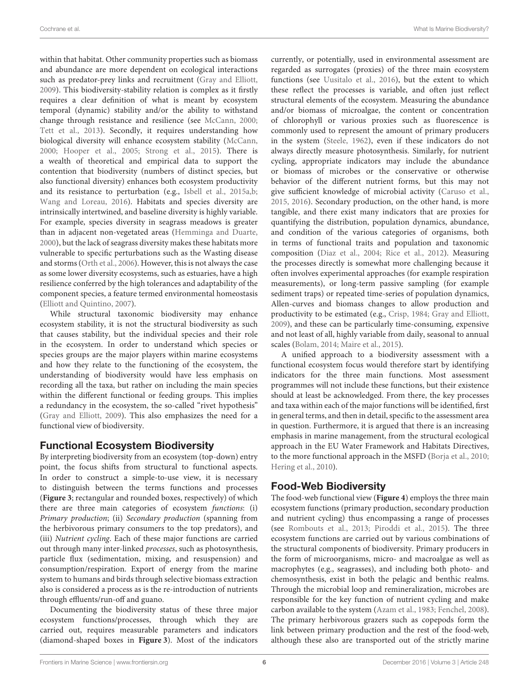within that habitat. Other community properties such as biomass and abundance are more dependent on ecological interactions such as predator-prey links and recruitment [\(Gray and Elliott,](#page-12-0) [2009\)](#page-12-0). This biodiversity-stability relation is complex as it firstly requires a clear definition of what is meant by ecosystem temporal (dynamic) stability and/or the ability to withstand change through resistance and resilience (see [McCann, 2000;](#page-12-22) [Tett et al., 2013\)](#page-13-11). Secondly, it requires understanding how biological diversity will enhance ecosystem stability [\(McCann,](#page-12-22) [2000;](#page-12-22) [Hooper et al., 2005;](#page-12-23) [Strong et al., 2015\)](#page-13-2). There is a wealth of theoretical and empirical data to support the contention that biodiversity (numbers of distinct species, but also functional diversity) enhances both ecosystem productivity and its resistance to perturbation (e.g., [Isbell et al., 2015a](#page-12-24)[,b;](#page-12-25) [Wang and Loreau, 2016\)](#page-13-12). Habitats and species diversity are intrinsically intertwined, and baseline diversity is highly variable. For example, species diversity in seagrass meadows is greater than in adjacent non-vegetated areas [\(Hemminga and Duarte,](#page-12-26) [2000\)](#page-12-26), but the lack of seagrass diversity makes these habitats more vulnerable to specific perturbations such as the Wasting disease and storms [\(Orth et al., 2006\)](#page-12-27). However, this is not always the case as some lower diversity ecosystems, such as estuaries, have a high resilience conferred by the high tolerances and adaptability of the component species, a feature termed environmental homeostasis [\(Elliott and Quintino, 2007\)](#page-11-26).

While structural taxonomic biodiversity may enhance ecosystem stability, it is not the structural biodiversity as such that causes stability, but the individual species and their role in the ecosystem. In order to understand which species or species groups are the major players within marine ecosystems and how they relate to the functioning of the ecosystem, the understanding of biodiversity would have less emphasis on recording all the taxa, but rather on including the main species within the different functional or feeding groups. This implies a redundancy in the ecosystem, the so-called "rivet hypothesis" [\(Gray and Elliott, 2009\)](#page-12-0). This also emphasizes the need for a functional view of biodiversity.

### Functional Ecosystem Biodiversity

By interpreting biodiversity from an ecosystem (top-down) entry point, the focus shifts from structural to functional aspects. In order to construct a simple-to-use view, it is necessary to distinguish between the terms functions and processes (**[Figure 3](#page-6-0)**; rectangular and rounded boxes, respectively) of which there are three main categories of ecosystem functions: (i) Primary production; (ii) Secondary production (spanning from the herbivorous primary consumers to the top predators), and (iii) Nutrient cycling. Each of these major functions are carried out through many inter-linked processes, such as photosynthesis, particle flux (sedimentation, mixing, and resuspension) and consumption/respiration. Export of energy from the marine system to humans and birds through selective biomass extraction also is considered a process as is the re-introduction of nutrients through effluents/run-off and guano.

Documenting the biodiversity status of these three major ecosystem functions/processes, through which they are carried out, requires measurable parameters and indicators (diamond-shaped boxes in **[Figure 3](#page-6-0)**). Most of the indicators currently, or potentially, used in environmental assessment are regarded as surrogates (proxies) of the three main ecosystem functions (see [Uusitalo et al., 2016\)](#page-13-8), but the extent to which these reflect the processes is variable, and often just reflect structural elements of the ecosystem. Measuring the abundance and/or biomass of microalgae, the content or concentration of chlorophyll or various proxies such as fluorescence is commonly used to represent the amount of primary producers in the system [\(Steele, 1962\)](#page-13-13), even if these indicators do not always directly measure photosynthesis. Similarly, for nutrient cycling, appropriate indicators may include the abundance or biomass of microbes or the conservative or otherwise behavior of the different nutrient forms, but this may not give sufficient knowledge of microbial activity [\(Caruso et al.,](#page-11-27) [2015,](#page-11-27) [2016\)](#page-11-28). Secondary production, on the other hand, is more tangible, and there exist many indicators that are proxies for quantifying the distribution, population dynamics, abundance, and condition of the various categories of organisms, both in terms of functional traits and population and taxonomic composition [\(Diaz et al., 2004;](#page-11-29) [Rice et al., 2012\)](#page-12-28). Measuring the processes directly is somewhat more challenging because it often involves experimental approaches (for example respiration measurements), or long-term passive sampling (for example sediment traps) or repeated time-series of population dynamics, Allen-curves and biomass changes to allow production and productivity to be estimated (e.g., [Crisp, 1984;](#page-11-30) [Gray and Elliott,](#page-12-0) [2009\)](#page-12-0), and these can be particularly time-consuming, expensive and not least of all, highly variable from daily, seasonal to annual scales [\(Bolam, 2014;](#page-11-31) [Maire et al., 2015\)](#page-12-29).

A unified approach to a biodiversity assessment with a functional ecosystem focus would therefore start by identifying indicators for the three main functions. Most assessment programmes will not include these functions, but their existence should at least be acknowledged. From there, the key processes and taxa within each of the major functions will be identified, first in general terms, and then in detail, specific to the assessment area in question. Furthermore, it is argued that there is an increasing emphasis in marine management, from the structural ecological approach in the EU Water Framework and Habitats Directives, to the more functional approach in the MSFD [\(Borja et al., 2010;](#page-11-32) [Hering et al., 2010\)](#page-12-30).

# Food-Web Biodiversity

The food-web functional view (**[Figure 4](#page-7-0)**) employs the three main ecosystem functions (primary production, secondary production and nutrient cycling) thus encompassing a range of processes (see [Rombouts et al., 2013;](#page-12-4) [Piroddi et al., 2015\)](#page-12-31). The three ecosystem functions are carried out by various combinations of the structural components of biodiversity. Primary producers in the form of microorganisms, micro- and macroalgae as well as macrophytes (e.g., seagrasses), and including both photo- and chemosynthesis, exist in both the pelagic and benthic realms. Through the microbial loop and remineralization, microbes are responsible for the key function of nutrient cycling and make carbon available to the system [\(Azam et al., 1983;](#page-10-0) [Fenchel, 2008\)](#page-11-33). The primary herbivorous grazers such as copepods form the link between primary production and the rest of the food-web, although these also are transported out of the strictly marine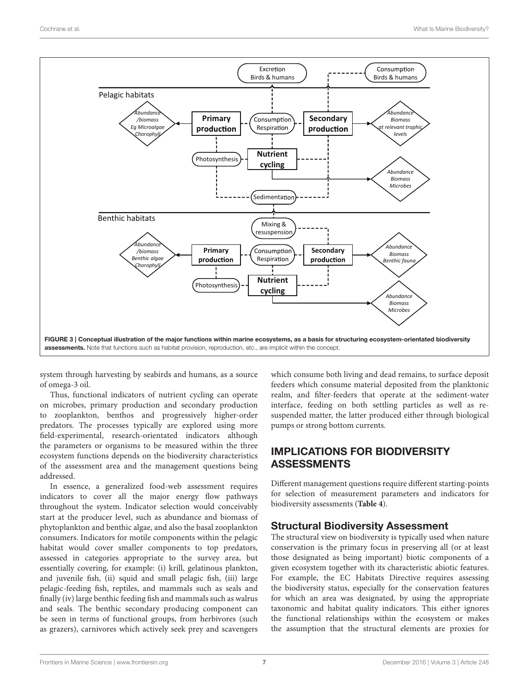

<span id="page-6-0"></span>system through harvesting by seabirds and humans, as a source of omega-3 oil.

Thus, functional indicators of nutrient cycling can operate on microbes, primary production and secondary production to zooplankton, benthos and progressively higher-order predators. The processes typically are explored using more field-experimental, research-orientated indicators although the parameters or organisms to be measured within the three ecosystem functions depends on the biodiversity characteristics of the assessment area and the management questions being addressed.

In essence, a generalized food-web assessment requires indicators to cover all the major energy flow pathways throughout the system. Indicator selection would conceivably start at the producer level, such as abundance and biomass of phytoplankton and benthic algae, and also the basal zooplankton consumers. Indicators for motile components within the pelagic habitat would cover smaller components to top predators, assessed in categories appropriate to the survey area, but essentially covering, for example: (i) krill, gelatinous plankton, and juvenile fish, (ii) squid and small pelagic fish, (iii) large pelagic-feeding fish, reptiles, and mammals such as seals and finally (iv) large benthic feeding fish and mammals such as walrus and seals. The benthic secondary producing component can be seen in terms of functional groups, from herbivores (such as grazers), carnivores which actively seek prey and scavengers which consume both living and dead remains, to surface deposit feeders which consume material deposited from the planktonic realm, and filter-feeders that operate at the sediment-water interface, feeding on both settling particles as well as resuspended matter, the latter produced either through biological pumps or strong bottom currents.

# IMPLICATIONS FOR BIODIVERSITY ASSESSMENTS

Different management questions require different starting-points for selection of measurement parameters and indicators for biodiversity assessments (**[Table 4](#page-8-0)**).

### Structural Biodiversity Assessment

The structural view on biodiversity is typically used when nature conservation is the primary focus in preserving all (or at least those designated as being important) biotic components of a given ecosystem together with its characteristic abiotic features. For example, the EC Habitats Directive requires assessing the biodiversity status, especially for the conservation features for which an area was designated, by using the appropriate taxonomic and habitat quality indicators. This either ignores the functional relationships within the ecosystem or makes the assumption that the structural elements are proxies for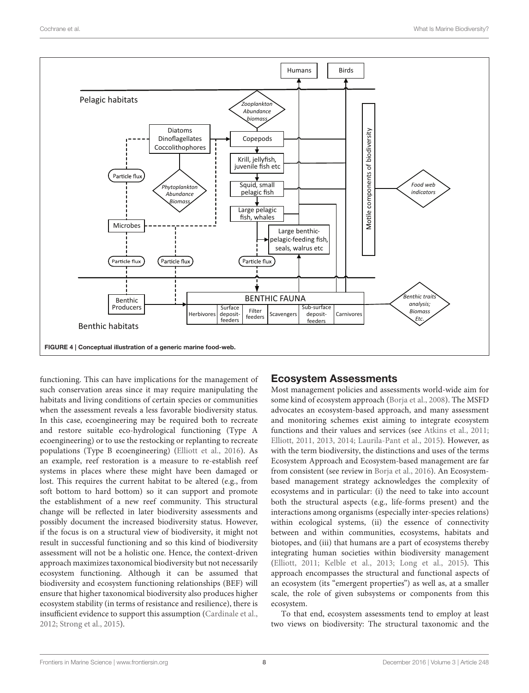

<span id="page-7-0"></span>functioning. This can have implications for the management of such conservation areas since it may require manipulating the habitats and living conditions of certain species or communities when the assessment reveals a less favorable biodiversity status. In this case, ecoengineering may be required both to recreate and restore suitable eco-hydrological functioning (Type A ecoengineering) or to use the restocking or replanting to recreate populations (Type B ecoengineering) [\(Elliott et al., 2016\)](#page-11-34). As an example, reef restoration is a measure to re-establish reef systems in places where these might have been damaged or lost. This requires the current habitat to be altered (e.g., from soft bottom to hard bottom) so it can support and promote the establishment of a new reef community. This structural change will be reflected in later biodiversity assessments and possibly document the increased biodiversity status. However, if the focus is on a structural view of biodiversity, it might not result in successful functioning and so this kind of biodiversity assessment will not be a holistic one. Hence, the context-driven approach maximizes taxonomical biodiversity but not necessarily ecosystem functioning. Although it can be assumed that biodiversity and ecosystem functioning relationships (BEF) will ensure that higher taxonomical biodiversity also produces higher ecosystem stability (in terms of resistance and resilience), there is insufficient evidence to support this assumption [\(Cardinale et al.,](#page-11-35) [2012;](#page-11-35) [Strong et al., 2015\)](#page-13-2).

#### Ecosystem Assessments

Most management policies and assessments world-wide aim for some kind of ecosystem approach [\(Borja et al., 2008\)](#page-11-36). The MSFD advocates an ecosystem-based approach, and many assessment and monitoring schemes exist aiming to integrate ecosystem functions and their values and services (see [Atkins et al., 2011;](#page-10-1) [Elliott, 2011,](#page-11-13) [2013,](#page-11-37) [2014;](#page-11-38) [Laurila-Pant et al., 2015\)](#page-12-32). However, as with the term biodiversity, the distinctions and uses of the terms Ecosystem Approach and Ecosystem-based management are far from consistent (see review in [Borja et al., 2016\)](#page-11-14). An Ecosystembased management strategy acknowledges the complexity of ecosystems and in particular: (i) the need to take into account both the structural aspects (e.g., life-forms present) and the interactions among organisms (especially inter-species relations) within ecological systems, (ii) the essence of connectivity between and within communities, ecosystems, habitats and biotopes, and (iii) that humans are a part of ecosystems thereby integrating human societies within biodiversity management [\(Elliott, 2011;](#page-11-13) [Kelble et al., 2013;](#page-12-33) [Long et al., 2015\)](#page-12-34). This approach encompasses the structural and functional aspects of an ecosystem (its "emergent properties") as well as, at a smaller scale, the role of given subsystems or components from this ecosystem.

To that end, ecosystem assessments tend to employ at least two views on biodiversity: The structural taxonomic and the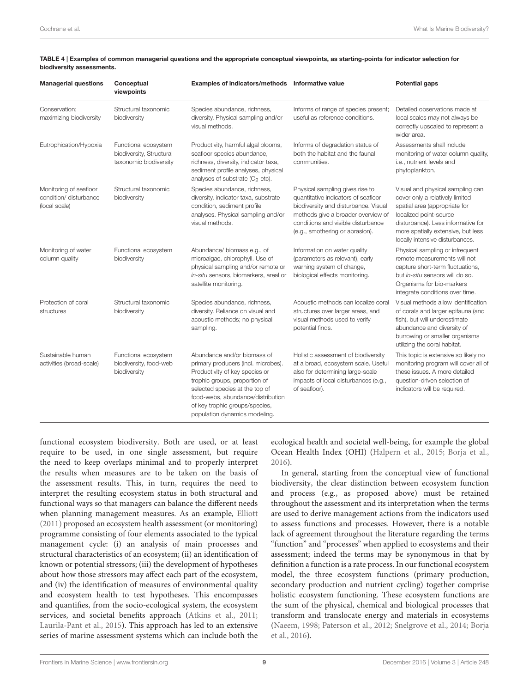| <b>Managerial questions</b>                                       | Conceptual<br>viewpoints                                                   | Examples of indicators/methods Informative value                                                                                                                                                                                                                                |                                                                                                                                                                                                                               | <b>Potential gaps</b>                                                                                                                                                                                                                         |
|-------------------------------------------------------------------|----------------------------------------------------------------------------|---------------------------------------------------------------------------------------------------------------------------------------------------------------------------------------------------------------------------------------------------------------------------------|-------------------------------------------------------------------------------------------------------------------------------------------------------------------------------------------------------------------------------|-----------------------------------------------------------------------------------------------------------------------------------------------------------------------------------------------------------------------------------------------|
| Conservation:<br>maximizing biodiversity                          | Structural taxonomic<br>biodiversity                                       | Species abundance, richness,<br>diversity. Physical sampling and/or<br>visual methods.                                                                                                                                                                                          | Informs of range of species present;<br>useful as reference conditions.                                                                                                                                                       | Detailed observations made at<br>local scales may not always be<br>correctly upscaled to represent a<br>wider area.                                                                                                                           |
| Eutrophication/Hypoxia                                            | Functional ecosystem<br>biodiversity, Structural<br>taxonomic biodiversity | Productivity, harmful algal blooms,<br>seafloor species abundance,<br>richness, diversity, indicator taxa,<br>sediment profile analyses, physical<br>analyses of substrate ( $O2$ etc).                                                                                         | Informs of degradation status of<br>both the habitat and the faunal<br>communities.                                                                                                                                           | Assessments shall include<br>monitoring of water column quality,<br>i.e., nutrient levels and<br>phytoplankton.                                                                                                                               |
| Monitoring of seafloor<br>condition/ disturbance<br>(local scale) | Structural taxonomic<br>biodiversity                                       | Species abundance, richness,<br>diversity, indicator taxa, substrate<br>condition, sediment profile<br>analyses. Physical sampling and/or<br>visual methods.                                                                                                                    | Physical sampling gives rise to<br>quantitative indicators of seafloor<br>biodiversity and disturbance. Visual<br>methods give a broader overview of<br>conditions and visible disturbance<br>(e.g., smothering or abrasion). | Visual and physical sampling can<br>cover only a relatively limited<br>spatial area (appropriate for<br>localized point-source<br>disturbance). Less informative for<br>more spatially extensive, but less<br>locally intensive disturbances. |
| Monitoring of water<br>column quality                             | Functional ecosystem<br>biodiversity                                       | Abundance/ biomass e.g., of<br>microalgae, chlorophyll. Use of<br>physical sampling and/or remote or<br>in-situ sensors, biomarkers, areal or<br>satellite monitoring.                                                                                                          | Information on water quality<br>(parameters as relevant), early<br>warning system of change,<br>biological effects monitoring.                                                                                                | Physical sampling or infrequent<br>remote measurements will not<br>capture short-term fluctuations,<br>but in-situ sensors will do so.<br>Organisms for bio-markers<br>integrate conditions over time.                                        |
| Protection of coral<br>structures                                 | Structural taxonomic<br>biodiversity                                       | Species abundance, richness,<br>diversity. Reliance on visual and<br>acoustic methods; no physical<br>sampling.                                                                                                                                                                 | Acoustic methods can localize coral<br>structures over larger areas, and<br>visual methods used to verify<br>potential finds.                                                                                                 | Visual methods allow identification<br>of corals and larger epifauna (and<br>fish), but will underestimate<br>abundance and diversity of<br>burrowing or smaller organisms<br>utilizing the coral habitat.                                    |
| Sustainable human<br>activities (broad-scale)                     | Functional ecosystem<br>biodiversity, food-web<br>biodiversity             | Abundance and/or biomass of<br>primary producers (incl. microbes).<br>Productivity of key species or<br>trophic groups, proportion of<br>selected species at the top of<br>food-webs, abundance/distribution<br>of key trophic groups/species,<br>population dynamics modeling. | Holistic assessment of biodiversity<br>at a broad, ecosystem scale. Useful<br>also for determining large-scale<br>impacts of local disturbances (e.g.,<br>of seafloor).                                                       | This topic is extensive so likely no<br>monitoring program will cover all of<br>these issues. A more detailed<br>question-driven selection of<br>indicators will be required.                                                                 |

<span id="page-8-0"></span>TABLE 4 | Examples of common managerial questions and the appropriate conceptual viewpoints, as starting-points for indicator selection for biodiversity assessments.

functional ecosystem biodiversity. Both are used, or at least require to be used, in one single assessment, but require the need to keep overlaps minimal and to properly interpret the results when measures are to be taken on the basis of the assessment results. This, in turn, requires the need to interpret the resulting ecosystem status in both structural and functional ways so that managers can balance the different needs when planning management measures. As an example, [Elliott](#page-11-13) [\(2011\)](#page-11-13) proposed an ecosystem health assessment (or monitoring) programme consisting of four elements associated to the typical management cycle: (i) an analysis of main processes and structural characteristics of an ecosystem; (ii) an identification of known or potential stressors; (iii) the development of hypotheses about how those stressors may affect each part of the ecosystem, and (iv) the identification of measures of environmental quality and ecosystem health to test hypotheses. This encompasses and quantifies, from the socio-ecological system, the ecosystem services, and societal benefits approach [\(Atkins et al., 2011;](#page-10-1) [Laurila-Pant et al., 2015\)](#page-12-32). This approach has led to an extensive series of marine assessment systems which can include both the ecological health and societal well-being, for example the global Ocean Health Index (OHI) [\(Halpern et al., 2015;](#page-12-35) [Borja et al.,](#page-11-14) [2016\)](#page-11-14).

In general, starting from the conceptual view of functional biodiversity, the clear distinction between ecosystem function and process (e.g., as proposed above) must be retained throughout the assessment and its interpretation when the terms are used to derive management actions from the indicators used to assess functions and processes. However, there is a notable lack of agreement throughout the literature regarding the terms "function" and "processes" when applied to ecosystems and their assessment; indeed the terms may be synonymous in that by definition a function is a rate process. In our functional ecosystem model, the three ecosystem functions (primary production, secondary production and nutrient cycling) together comprise holistic ecosystem functioning. These ecosystem functions are the sum of the physical, chemical and biological processes that transform and translocate energy and materials in ecosystems [\(Naeem, 1998;](#page-12-36) [Paterson et al., 2012;](#page-12-37) [Snelgrove et al., 2014;](#page-13-14) Borja et al., [2016\)](#page-11-14).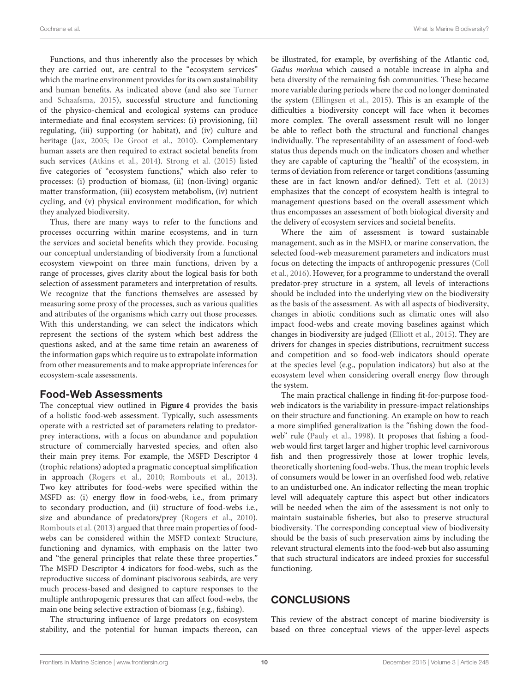Functions, and thus inherently also the processes by which they are carried out, are central to the "ecosystem services" which the marine environment provides for its own sustainability and human benefits. As indicated above (and also see Turner and Schaafsma, [2015\)](#page-13-6), successful structure and functioning of the physico-chemical and ecological systems can produce intermediate and final ecosystem services: (i) provisioning, (ii) regulating, (iii) supporting (or habitat), and (iv) culture and heritage [\(Jax, 2005;](#page-12-38) [De Groot et al., 2010\)](#page-11-9). Complementary human assets are then required to extract societal benefits from such services [\(Atkins et al., 2014\)](#page-10-2). [Strong et al. \(2015\)](#page-13-2) listed five categories of "ecosystem functions," which also refer to processes: (i) production of biomass, (ii) (non-living) organic matter transformation, (iii) ecosystem metabolism, (iv) nutrient cycling, and (v) physical environment modification, for which they analyzed biodiversity.

Thus, there are many ways to refer to the functions and processes occurring within marine ecosystems, and in turn the services and societal benefits which they provide. Focusing our conceptual understanding of biodiversity from a functional ecosystem viewpoint on three main functions, driven by a range of processes, gives clarity about the logical basis for both selection of assessment parameters and interpretation of results. We recognize that the functions themselves are assessed by measuring some proxy of the processes, such as various qualities and attributes of the organisms which carry out those processes. With this understanding, we can select the indicators which represent the sections of the system which best address the questions asked, and at the same time retain an awareness of the information gaps which require us to extrapolate information from other measurements and to make appropriate inferences for ecosystem-scale assessments.

#### Food-Web Assessments

The conceptual view outlined in **[Figure 4](#page-7-0)** provides the basis of a holistic food-web assessment. Typically, such assessments operate with a restricted set of parameters relating to predatorprey interactions, with a focus on abundance and population structure of commercially harvested species, and often also their main prey items. For example, the MSFD Descriptor 4 (trophic relations) adopted a pragmatic conceptual simplification in approach [\(Rogers et al., 2010;](#page-12-39) [Rombouts et al., 2013\)](#page-12-4). Two key attributes for food-webs were specified within the MSFD as: (i) energy flow in food-webs, i.e., from primary to secondary production, and (ii) structure of food-webs i.e., size and abundance of predators/prey [\(Rogers et al., 2010\)](#page-12-39). [Rombouts et al. \(2013\)](#page-12-4) argued that three main properties of foodwebs can be considered within the MSFD context: Structure, functioning and dynamics, with emphasis on the latter two and "the general principles that relate these three properties." The MSFD Descriptor 4 indicators for food-webs, such as the reproductive success of dominant piscivorous seabirds, are very much process-based and designed to capture responses to the multiple anthropogenic pressures that can affect food-webs, the main one being selective extraction of biomass (e.g., fishing).

The structuring influence of large predators on ecosystem stability, and the potential for human impacts thereon, can be illustrated, for example, by overfishing of the Atlantic cod, Gadus morhua which caused a notable increase in alpha and beta diversity of the remaining fish communities. These became more variable during periods where the cod no longer dominated the system [\(Ellingsen et al., 2015\)](#page-11-39). This is an example of the difficulties a biodiversity concept will face when it becomes more complex. The overall assessment result will no longer be able to reflect both the structural and functional changes individually. The representability of an assessment of food-web status thus depends much on the indicators chosen and whether they are capable of capturing the "health" of the ecosystem, in terms of deviation from reference or target conditions (assuming these are in fact known and/or defined). [Tett et al. \(2013\)](#page-13-11) emphasizes that the concept of ecosystem health is integral to management questions based on the overall assessment which thus encompasses an assessment of both biological diversity and the delivery of ecosystem services and societal benefits.

Where the aim of assessment is toward sustainable management, such as in the MSFD, or marine conservation, the selected food-web measurement parameters and indicators must focus on detecting the impacts of anthropogenic pressures (Coll et al., [2016\)](#page-11-40). However, for a programme to understand the overall predator-prey structure in a system, all levels of interactions should be included into the underlying view on the biodiversity as the basis of the assessment. As with all aspects of biodiversity, changes in abiotic conditions such as climatic ones will also impact food-webs and create moving baselines against which changes in biodiversity are judged [\(Elliott et al., 2015\)](#page-11-6). They are drivers for changes in species distributions, recruitment success and competition and so food-web indicators should operate at the species level (e.g., population indicators) but also at the ecosystem level when considering overall energy flow through the system.

The main practical challenge in finding fit-for-purpose foodweb indicators is the variability in pressure-impact relationships on their structure and functioning. An example on how to reach a more simplified generalization is the "fishing down the foodweb" rule [\(Pauly et al., 1998\)](#page-12-40). It proposes that fishing a foodweb would first target larger and higher trophic level carnivorous fish and then progressively those at lower trophic levels, theoretically shortening food-webs. Thus, the mean trophic levels of consumers would be lower in an overfished food web, relative to an undisturbed one. An indicator reflecting the mean trophic level will adequately capture this aspect but other indicators will be needed when the aim of the assessment is not only to maintain sustainable fisheries, but also to preserve structural biodiversity. The corresponding conceptual view of biodiversity should be the basis of such preservation aims by including the relevant structural elements into the food-web but also assuming that such structural indicators are indeed proxies for successful functioning.

# **CONCLUSIONS**

This review of the abstract concept of marine biodiversity is based on three conceptual views of the upper-level aspects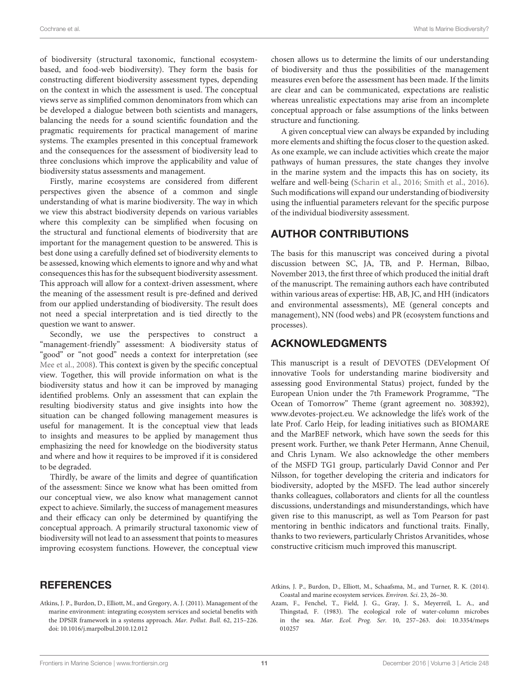of biodiversity (structural taxonomic, functional ecosystembased, and food-web biodiversity). They form the basis for constructing different biodiversity assessment types, depending on the context in which the assessment is used. The conceptual views serve as simplified common denominators from which can be developed a dialogue between both scientists and managers, balancing the needs for a sound scientific foundation and the pragmatic requirements for practical management of marine systems. The examples presented in this conceptual framework and the consequences for the assessment of biodiversity lead to three conclusions which improve the applicability and value of biodiversity status assessments and management.

Firstly, marine ecosystems are considered from different perspectives given the absence of a common and single understanding of what is marine biodiversity. The way in which we view this abstract biodiversity depends on various variables where this complexity can be simplified when focusing on the structural and functional elements of biodiversity that are important for the management question to be answered. This is best done using a carefully defined set of biodiversity elements to be assessed, knowing which elements to ignore and why and what consequences this has for the subsequent biodiversity assessment. This approach will allow for a context-driven assessment, where the meaning of the assessment result is pre-defined and derived from our applied understanding of biodiversity. The result does not need a special interpretation and is tied directly to the question we want to answer.

Secondly, we use the perspectives to construct a "management-friendly" assessment: A biodiversity status of "good" or "not good" needs a context for interpretation (see [Mee et al., 2008\)](#page-12-41). This context is given by the specific conceptual view. Together, this will provide information on what is the biodiversity status and how it can be improved by managing identified problems. Only an assessment that can explain the resulting biodiversity status and give insights into how the situation can be changed following management measures is useful for management. It is the conceptual view that leads to insights and measures to be applied by management thus emphasizing the need for knowledge on the biodiversity status and where and how it requires to be improved if it is considered to be degraded.

Thirdly, be aware of the limits and degree of quantification of the assessment: Since we know what has been omitted from our conceptual view, we also know what management cannot expect to achieve. Similarly, the success of management measures and their efficacy can only be determined by quantifying the conceptual approach. A primarily structural taxonomic view of biodiversity will not lead to an assessment that points to measures improving ecosystem functions. However, the conceptual view

### **REFERENCES**

<span id="page-10-1"></span>Atkins, J. P., Burdon, D., Elliott, M., and Gregory, A. J. (2011). Management of the marine environment: integrating ecosystem services and societal benefits with the DPSIR framework in a systems approach. Mar. Pollut. Bull. 62, 215–226. doi: [10.1016/j.marpolbul.2010.12.012](https://doi.org/10.1016/j.marpolbul.2010.12.012)

chosen allows us to determine the limits of our understanding of biodiversity and thus the possibilities of the management measures even before the assessment has been made. If the limits are clear and can be communicated, expectations are realistic whereas unrealistic expectations may arise from an incomplete conceptual approach or false assumptions of the links between structure and functioning.

A given conceptual view can always be expanded by including more elements and shifting the focus closer to the question asked. As one example, we can include activities which create the major pathways of human pressures, the state changes they involve in the marine system and the impacts this has on society, its welfare and well-being [\(Scharin et al., 2016;](#page-12-42) [Smith et al., 2016\)](#page-13-15). Such modifications will expand our understanding of biodiversity using the influential parameters relevant for the specific purpose of the individual biodiversity assessment.

# AUTHOR CONTRIBUTIONS

The basis for this manuscript was conceived during a pivotal discussion between SC, JA, TB, and P. Herman, Bilbao, November 2013, the first three of which produced the initial draft of the manuscript. The remaining authors each have contributed within various areas of expertise: HB, AB, JC, and HH (indicators and environmental assessments), ME (general concepts and management), NN (food webs) and PR (ecosystem functions and processes).

## ACKNOWLEDGMENTS

This manuscript is a result of DEVOTES (DEVelopment Of innovative Tools for understanding marine biodiversity and assessing good Environmental Status) project, funded by the European Union under the 7th Framework Programme, "The Ocean of Tomorrow" Theme (grant agreement no. 308392), [www.devotes-project.eu.](http://www.devotes-project.eu) We acknowledge the life's work of the late Prof. Carlo Heip, for leading initiatives such as BIOMARE and the MarBEF network, which have sown the seeds for this present work. Further, we thank Peter Hermann, Anne Chenuil, and Chris Lynam. We also acknowledge the other members of the MSFD TG1 group, particularly David Connor and Per Nilsson, for together developing the criteria and indicators for biodiversity, adopted by the MSFD. The lead author sincerely thanks colleagues, collaborators and clients for all the countless discussions, understandings and misunderstandings, which have given rise to this manuscript, as well as Tom Pearson for past mentoring in benthic indicators and functional traits. Finally, thanks to two reviewers, particularly Christos Arvanitides, whose constructive criticism much improved this manuscript.

<span id="page-10-2"></span>Atkins, J. P., Burdon, D., Elliott, M., Schaafsma, M., and Turner, R. K. (2014). Coastal and marine ecosystem services. Environ. Sci. 23, 26–30.

<span id="page-10-0"></span>Azam, F., Fenchel, T., Field, J. G., Gray, J. S., Meyerreil, L. A., and Thingstad, F. (1983). The ecological role of water-column microbes in the sea. Mar. Ecol. Prog. Ser. [10, 257–263. doi: 10.3354/meps](https://doi.org/10.3354/meps010257) 010257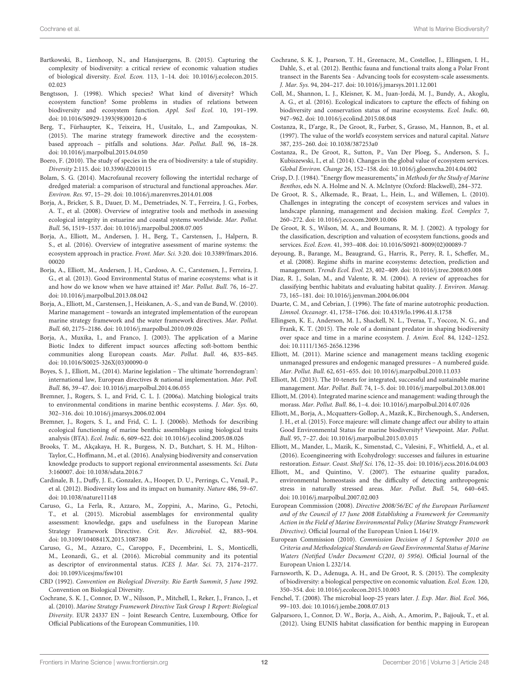- <span id="page-11-16"></span>Bartkowski, B., Lienhoop, N., and Hansjuergens, B. (2015). Capturing the complexity of biodiversity: a critical review of economic valuation studies of biological diversity. Ecol. Econ. [113, 1–14. doi: 10.1016/j.ecolecon.2015.](https://doi.org/10.1016/j.ecolecon.2015.02.023) 02.023
- <span id="page-11-2"></span>Bengtsson, J. (1998). Which species? What kind of diversity? Which ecosystem function? Some problems in studies of relations between biodiversity and ecosystem function. Appl. Soil Ecol. 10, 191–199. doi: [10.1016/S0929-1393\(98\)00120-6](https://doi.org/10.1016/S0929-1393(98)00120-6)
- <span id="page-11-15"></span>Berg, T., Fürhaupter, K., Teixeira, H., Uusitalo, L., and Zampoukas, N. (2015). The marine strategy framework directive and the ecosystembased approach – pitfalls and solutions. Mar. Pollut. Bull. 96, 18–28. doi: [10.1016/j.marpolbul.2015.04.050](https://doi.org/10.1016/j.marpolbul.2015.04.050)
- <span id="page-11-1"></span>Boero, F. (2010). The study of species in the era of biodiversity: a tale of stupidity. Diversity 2:115. doi: [10.3390/d2010115](https://doi.org/10.3390/d2010115)
- <span id="page-11-31"></span>Bolam, S. G. (2014). Macrofaunal recovery following the intertidal recharge of dredged material: a comparison of structural and functional approaches. Mar. Environ. Res. 97, 15–29. doi: [10.1016/j.marenvres.2014.01.008](https://doi.org/10.1016/j.marenvres.2014.01.008)
- <span id="page-11-36"></span>Borja, A., Bricker, S. B., Dauer, D. M., Demetriades, N. T., Ferreira, J. G., Forbes, A. T., et al. (2008). Overview of integrative tools and methods in assessing ecological integrity in estuarine and coastal systems worldwide. Mar. Pollut. Bull. 56, 1519–1537. doi: [10.1016/j.marpolbul.2008.07.005](https://doi.org/10.1016/j.marpolbul.2008.07.005)
- <span id="page-11-14"></span>Borja, A., Elliott, M., Andersen, J. H., Berg, T., Carstensen, J., Halpern, B. S., et al. (2016). Overview of integrative assessment of marine systems: the [ecosystem approach in practice.](https://doi.org/10.3389/fmars.2016.00020) Front. Mar. Sci. 3:20. doi: 10.3389/fmars.2016. 00020
- <span id="page-11-11"></span>Borja, A., Elliott, M., Andersen, J. H., Cardoso, A. C., Carstensen, J., Ferreira, J. G., et al. (2013). Good Environmental Status of marine ecosystems: what is it and how do we know when we have attained it? Mar. Pollut. Bull. 76, 16–27. doi: [10.1016/j.marpolbul.2013.08.042](https://doi.org/10.1016/j.marpolbul.2013.08.042)
- <span id="page-11-32"></span>Borja, A., Elliott, M., Carstensen, J., Heiskanen, A.-S., and van de Bund, W. (2010). Marine management – towards an integrated implementation of the european marine strategy framework and the water framework directives. Mar. Pollut. Bull. 60, 2175–2186. doi: [10.1016/j.marpolbul.2010.09.026](https://doi.org/10.1016/j.marpolbul.2010.09.026)
- <span id="page-11-19"></span>Borja, A., Muxika, I., and Franco, J. (2003). The application of a Marine Biotic Index to different impact sources affecting soft-bottom benthic communities along European coasts. Mar. Pollut. Bull. 46, 835–845. doi: [10.1016/S0025-326X\(03\)00090-0](https://doi.org/10.1016/S0025-326X(03)00090-0)
- <span id="page-11-20"></span>Boyes, S. J., Elliott, M., (2014). Marine legislation – The ultimate 'horrendogram': international law, European directives & national implementation. Mar. Poll. Bull. 86, 39–47. doi: [10.1016/j.marpolbul.2014.06.055](https://doi.org/10.1016/j.marpolbul.2014.06.055)
- <span id="page-11-23"></span>Bremner, J., Rogers, S. I., and Frid, C. L. J. (2006a). Matching biological traits to environmental conditions in marine benthic ecosystems. J. Mar. Sys. 60, 302–316. doi: [10.1016/j.jmarsys.2006.02.004](https://doi.org/10.1016/j.jmarsys.2006.02.004)
- <span id="page-11-24"></span>Bremner, J., Rogers, S. I., and Frid, C. L. J. (2006b). Methods for describing ecological functioning of marine benthic assemblages using biological traits analysis (BTA). Ecol. Indic. 6, 609–622. doi: [10.1016/j.ecolind.2005.08.026](https://doi.org/10.1016/j.ecolind.2005.08.026)
- <span id="page-11-18"></span>Brooks, T. M., Akçakaya, H. R., Burgess, N. D., Butchart, S. H. M., Hilton-Taylor, C., Hoffmann, M., et al. (2016). Analysing biodiversity and conservation knowledge products to support regional environmental assessments. Sci. Data 3:160007. doi: [10.1038/sdata.2016.7](https://doi.org/10.1038/sdata.2016.7)
- <span id="page-11-35"></span>Cardinale, B. J., Duffy, J. E., Gonzalez, A., Hooper, D. U., Perrings, C., Venail, P., et al. (2012). Biodiversity loss and its impact on humanity. Nature 486, 59–67. doi: [10.1038/nature11148](https://doi.org/10.1038/nature11148)
- <span id="page-11-27"></span>Caruso, G., La Ferla, R., Azzaro, M., Zoppini, A., Marino, G., Petochi, T., et al. (2015). Microbial assemblages for environmental quality assessment: knowledge, gaps and usefulness in the European Marine Strategy Framework Directive. Crit. Rev. Microbiol. 42, 883–904. doi: [10.3109/1040841X.2015.1087380](https://doi.org/10.3109/1040841X.2015.1087380)
- <span id="page-11-28"></span>Caruso, G., M., Azzaro, C., Caroppo, F., Decembrini, L. S., Monticelli, M., Leonardi, G., et al. (2016). Microbial community and its potential as descriptor of environmental status. ICES J. Mar. Sci. 73, 2174–2177. doi: [10.1093/icesjms/fsw101](https://doi.org/10.1093/icesjms/fsw101)
- <span id="page-11-0"></span>CBD (1992). Convention on Biological Diversity. Rio Earth Summit, 5 June 1992. Convention on Biological Diversity.
- <span id="page-11-21"></span>Cochrane, S. K. J., Connor, D. W., Nilsson, P., Mitchell, I., Reker, J., Franco, J., et al. (2010). Marine Strategy Framework Directive Task Group 1 Report: Biological Diversity. EUR 24337 EN – Joint Research Centre, Luxembourg, Office for Official Publications of the European Communities, 110.
- <span id="page-11-25"></span>Cochrane, S. K. J., Pearson, T. H., Greenacre, M., Costelloe, J., Ellingsen, I. H., Dahle, S., et al. (2012). Benthic fauna and functional traits along a Polar Front transect in the Barents Sea - Advancing tools for ecosystem-scale assessments. J. Mar. Sys. 94, 204–217. doi: [10.1016/j.jmarsys.2011.12.001](https://doi.org/10.1016/j.jmarsys.2011.12.001)
- <span id="page-11-40"></span>Coll, M., Shannon, L. J., Kleisner, K. M., Juan-Jordá, M. J., Bundy, A., Akoglu, A. G., et al. (2016). Ecological indicators to capture the effects of fishing on biodiversity and conservation status of marine ecosystems. Ecol. Indic. 60, 947–962. doi: [10.1016/j.ecolind.2015.08.048](https://doi.org/10.1016/j.ecolind.2015.08.048)
- <span id="page-11-4"></span>Costanza, R., D'arge, R., De Groot, R., Farber, S., Grasso, M., Hannon, B., et al. (1997). The value of the world's ecosystem services and natural capital. Nature 387, 235–260. doi: [10.1038/387253a0](https://doi.org/10.1038/387253a0)
- <span id="page-11-7"></span>Costanza, R., De Groot, R., Sutton, P., Van Der Ploeg, S., Anderson, S. J., Kubiszewski, I., et al. (2014). Changes in the global value of ecosystem services. Global Environ. Change 26, 152–158. doi: [10.1016/j.gloenvcha.2014.04.002](https://doi.org/10.1016/j.gloenvcha.2014.04.002)
- <span id="page-11-30"></span>Crisp, D. J. (1984). "Energy flow measurements," in Methods for the Study of Marine Benthos, eds N. A. Holme and N. A. McIntyre (Oxford: Blackwell), 284–372.
- <span id="page-11-9"></span>De Groot, R. S., Alkemade, R., Braat, L., Hein, L., and Willemen, L. (2010). Challenges in integrating the concept of ecosystem services and values in landscape planning, management and decision making. Ecol. Complex 7, 260–272. doi: [10.1016/j.ecocom.2009.10.006](https://doi.org/10.1016/j.ecocom.2009.10.006)
- <span id="page-11-8"></span>De Groot, R. S., Wilson, M. A., and Boumans, R. M. J. (2002). A typology for the classification, description and valuation of ecosystem functions, goods and services. Ecol. Econ. 41, 393–408. doi: [10.1016/S0921-8009\(02\)00089-7](https://doi.org/10.1016/S0921-8009(02)00089-7)
- <span id="page-11-5"></span>deyoung, B., Barange, M., Beaugrand, G., Harris, R., Perry, R. I., Scheffer, M., et al. (2008). Regime shifts in marine ecosystems: detection, prediction and management. Trends Ecol. Evol. 23, 402–409. doi: [10.1016/j.tree.2008.03.008](https://doi.org/10.1016/j.tree.2008.03.008)
- <span id="page-11-29"></span>Diaz, R. J., Solan, M., and Valente, R. M. (2004). A review of approaches for classifying benthic habitats and evaluating habitat quality. J. Environ. Manag. 73, 165–181. doi: [10.1016/j.jenvman.2004.06.004](https://doi.org/10.1016/j.jenvman.2004.06.004)
- <span id="page-11-3"></span>Duarte, C. M., and Cebrian, J. (1996). The fate of marine autotrophic production. Limnol. Oceanogr. 41, 1758–1766. doi: [10.4319/lo.1996.41.8.1758](https://doi.org/10.4319/lo.1996.41.8.1758)
- <span id="page-11-39"></span>Ellingsen, K. E., Anderson, M. J., Shackell, N. L., Tveraa, T., Yoccoz, N. G., and Frank, K. T. (2015). The role of a dominant predator in shaping biodiversity over space and time in a marine ecosystem. J. Anim. Ecol. 84, 1242–1252. doi: [10.1111/1365-2656.12396](https://doi.org/10.1111/1365-2656.12396)
- <span id="page-11-13"></span>Elliott, M. (2011). Marine science and management means tackling exogenic unmanaged pressures and endogenic managed pressures – A numbered guide. Mar. Pollut. Bull. 62, 651–655. doi: [10.1016/j.marpolbul.2010.11.033](https://doi.org/10.1016/j.marpolbul.2010.11.033)
- <span id="page-11-37"></span>Elliott, M. (2013). The 10-tenets for integrated, successful and sustainable marine management. Mar. Pollut. Bull. 74, 1–5. doi: [10.1016/j.marpolbul.2013.08.001](https://doi.org/10.1016/j.marpolbul.2013.08.001)
- <span id="page-11-38"></span>Elliott, M. (2014). Integrated marine science and management: wading through the morass. Mar. Pollut. Bull. 86, 1–4. doi: [10.1016/j.marpolbul.2014.07.026](https://doi.org/10.1016/j.marpolbul.2014.07.026)
- <span id="page-11-6"></span>Elliott, M., Borja, A., Mcquatters-Gollop, A., Mazik, K., Birchenough, S., Andersen, J. H., et al. (2015). Force majeure: will climate change affect our ability to attain Good Environmental Status for marine biodiversity? Viewpoint. Mar. Pollut. Bull. 95, 7–27. doi: [10.1016/j.marpolbul.2015.03.015](https://doi.org/10.1016/j.marpolbul.2015.03.015)
- <span id="page-11-34"></span>Elliott, M., Mander, L., Mazik, K., Simenstad, C., Valesini, F., Whitfield, A., et al. (2016). Ecoengineering with Ecohydrology: successes and failures in estuarine restoration. Estuar. Coast. Shelf Sci. 176, 12–35. doi: [10.1016/j.ecss.2016.04.003](https://doi.org/10.1016/j.ecss.2016.04.003)
- <span id="page-11-26"></span>Elliott, M., and Quintino, V. (2007). The estuarine quality paradox, environmental homeostasis and the difficulty of detecting anthropogenic stress in naturally stressed areas. Mar. Pollut. Bull. 54, 640–645. doi: [10.1016/j.marpolbul.2007.02.003](https://doi.org/10.1016/j.marpolbul.2007.02.003)
- <span id="page-11-10"></span>European Commission (2008). Directive 2008/56/EC of the European Parliament and of the Council of 17 June 2008 Establishing a Framework for Community Action in the Field of Marine Environmental Policy (Marine Strategy Framework Directive). Official Journal of the European Union L 164/19.
- <span id="page-11-12"></span>European Commission (2010). Commission Decision of 1 September 2010 on Criteria and Methodological Standards on Good Environmental Status of Marine Waters (Notified Under Document C(201, 0) 5956). Official Journal of the European Union L 232/14.
- <span id="page-11-17"></span>Farnsworth, K. D., Adenuga, A. H., and De Groot, R. S. (2015). The complexity of biodiversity: a biological perspective on economic valuation. Ecol. Econ. 120, 350–354. doi: [10.1016/j.ecolecon.2015.10.003](https://doi.org/10.1016/j.ecolecon.2015.10.003)
- <span id="page-11-33"></span>Fenchel, T. (2008). The microbial loop-25 years later. J. Exp. Mar. Biol. Ecol. 366, 99–103. doi: [10.1016/j.jembe.2008.07.013](https://doi.org/10.1016/j.jembe.2008.07.013)
- <span id="page-11-22"></span>Galparsoro, I., Connor, D. W., Borja, A., Aish, A., Amorim, P., Bajjouk, T., et al. (2012). Using EUNIS habitat classification for benthic mapping in European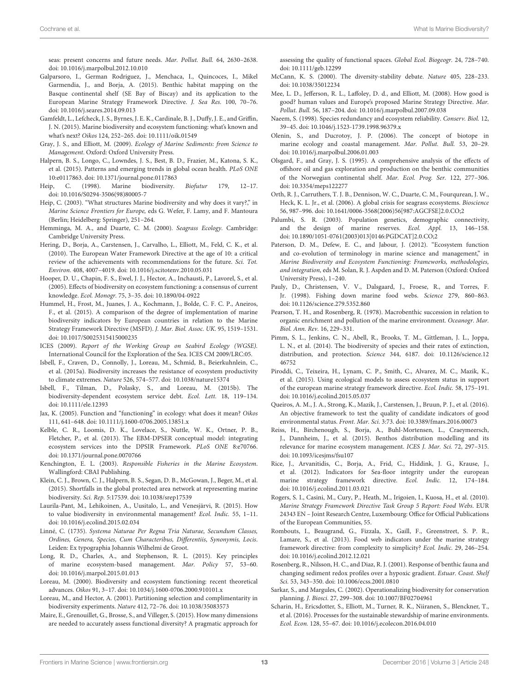seas: present concerns and future needs. Mar. Pollut. Bull. 64, 2630–2638. doi: [10.1016/j.marpolbul.2012.10.010](https://doi.org/10.1016/j.marpolbul.2012.10.010)

- <span id="page-12-16"></span>Galparsoro, I., German Rodriguez, J., Menchaca, I., Quincoces, I., Mikel Garmendia, J., and Borja, A. (2015). Benthic habitat mapping on the Basque continental shelf (SE Bay of Biscay) and its application to the European Marine Strategy Framework Directive. J. Sea Res. 100, 70–76. doi: [10.1016/j.seares.2014.09.013](https://doi.org/10.1016/j.seares.2014.09.013)
- <span id="page-12-5"></span>Gamfeldt, L., Lefcheck, J. S., Byrnes, J. E. K., Cardinale, B. J., Duffy, J. E., and Griffin, J. N. (2015). Marine biodiversity and ecosystem functioning: what's known and what's next? Oikos 124, 252–265. doi: [10.1111/oik.01549](https://doi.org/10.1111/oik.01549)
- <span id="page-12-0"></span>Gray, J. S., and Elliott, M. (2009). Ecology of Marine Sediments: from Science to Management. Oxford: Oxford University Press.
- <span id="page-12-35"></span>Halpern, B. S., Longo, C., Lowndes, J. S., Best, B. D., Frazier, M., Katona, S. K., et al. (2015). Patterns and emerging trends in global ocean health. PLoS ONE 10:e0117863. doi: [10.1371/journal.pone.0117863](https://doi.org/10.1371/journal.pone.0117863)
- <span id="page-12-1"></span>Heip, C. (1998). Marine biodiversity. Biofutur 179, 12–17. doi: [10.1016/S0294-3506\(98\)80005-7](https://doi.org/10.1016/S0294-3506(98)80005-7)
- <span id="page-12-2"></span>Heip, C. (2003). "What structures Marine biodiversity and why does it vary?," in Marine Science Frontiers for Europe, eds G. Wefer, F. Lamy, and F. Mantoura (Berlin; Heidelberg: Springer), 251–264.
- <span id="page-12-26"></span>Hemminga, M. A., and Duarte, C. M. (2000). Seagrass Ecology. Cambridge: Cambridge University Press.
- <span id="page-12-30"></span>Hering, D., Borja, A., Carstensen, J., Carvalho, L., Elliott, M., Feld, C. K., et al. (2010). The European Water Framework Directive at the age of 10: a critical review of the achievements with recommendations for the future. Sci. Tot. Environ. 408, 4007–4019. doi: [10.1016/j.scitotenv.2010.05.031](https://doi.org/10.1016/j.scitotenv.2010.05.031)
- <span id="page-12-23"></span>Hooper, D. U., Chapin, F. S., Ewel, J. J., Hector, A., Inchausti, P., Lavorel, S., et al. (2005). Effects of biodiversity on ecosystem functioning: a consensus of current knowledge. Ecol. Monogr. 75, 3–35. doi: [10.1890/04-0922](https://doi.org/10.1890/04-0922)
- <span id="page-12-15"></span>Hummel, H., Frost, M., Juanes, J. A., Kochmann, J., Bolde, C. F. C. P., Aneiros, F., et al. (2015). A comparison of the degree of implementation of marine biodiversity indicators by European countries in relation to the Marine Strategy Framework Directive (MSFD). J. Mar. Biol. Assoc. UK. 95, 1519–1531. doi: [10.1017/S0025315415000235](https://doi.org/10.1017/S0025315415000235)
- <span id="page-12-20"></span>ICES (2009). Report of the Working Group on Seabird Ecology (WGSE). International Council for the Exploration of the Sea. ICES CM 2009/LRC:05.
- <span id="page-12-24"></span>Isbell, F., Craven, D., Connolly, J., Loreau, M., Schmid, B., Beierkuhnlein, C., et al. (2015a). Biodiversity increases the resistance of ecosystem productivity to climate extremes. Nature 526, 574–577. doi: [10.1038/nature15374](https://doi.org/10.1038/nature15374)
- <span id="page-12-25"></span>Isbell, F., Tilman, D., Polasky, S., and Loreau, M. (2015b). The biodiversity-dependent ecosystem service debt. Ecol. Lett. 18, 119–134. doi: [10.1111/ele.12393](https://doi.org/10.1111/ele.12393)
- <span id="page-12-38"></span>Jax, K. (2005). Function and "functioning" in ecology: what does it mean? Oikos 111, 641–648. doi: [10.1111/j.1600-0706.2005.13851.x](https://doi.org/10.1111/j.1600-0706.2005.13851.x)
- <span id="page-12-33"></span>Kelble, C. R., Loomis, D. K., Lovelace, S., Nuttle, W. K., Ortner, P. B., Fletcher, P., et al. (2013). The EBM-DPSER conceptual model: integrating ecosystem services into the DPSIR Framework. PLoS ONE 8:e70766. doi: [10.1371/journal.pone.0070766](https://doi.org/10.1371/journal.pone.0070766)
- <span id="page-12-6"></span>Kenchington, E. L. (2003). Responsible Fisheries in the Marine Ecosystem. Wallingford: CBAI Publishing.
- <span id="page-12-14"></span>Klein, C. J., Brown, C. J., Halpern, B. S., Segan, D. B., McGowan, J., Beger, M., et al. (2015). Shortfalls in the global protected area network at representing marine biodiversity. Sci. Rep. 5:17539. doi: [10.1038/srep17539](https://doi.org/10.1038/srep17539)
- <span id="page-12-32"></span>Laurila-Pant, M., Lehikoinen, A., Uusitalo, L., and Venesjärvi, R. (2015). How to value biodiversity in environmental management? Ecol. Indic. 55, 1–11. doi: [10.1016/j.ecolind.2015.02.034](https://doi.org/10.1016/j.ecolind.2015.02.034)
- <span id="page-12-8"></span>Linné, C. (1735). Systema Naturae Per Regna Tria Naturae, Secundum Classes, Ordines, Genera, Species, Cum Characteribus, Differentiis, Synonymis, Locis. Leiden: Ex typographia Johannis Wilhelmi de Groot.
- <span id="page-12-34"></span>Long, R. D., Charles, A., and Stephenson, R. L. (2015). Key principles of marine ecosystem-based management. Mar. Policy 57, 53–60. doi: [10.1016/j.marpol.2015.01.013](https://doi.org/10.1016/j.marpol.2015.01.013)
- <span id="page-12-19"></span>Loreau, M. (2000). Biodiversity and ecosystem functioning: recent theoretical advances. Oikos 91, 3–17. doi: [10.1034/j.1600-0706.2000.910101.x](https://doi.org/10.1034/j.1600-0706.2000.910101.x)
- <span id="page-12-21"></span>Loreau, M., and Hector, A. (2001). Partitioning selection and complimentarity in biodiversity experiments. Nature 412, 72–76. doi: [10.1038/35083573](https://doi.org/10.1038/35083573)
- <span id="page-12-29"></span>Maire, E., Grenouillet, G., Brosse, S., and Villeger, S. (2015). How many dimensions are needed to accurately assess functional diversity? A pragmatic approach for

assessing the quality of functional spaces. Global Ecol. Biogeogr. 24, 728–740. doi: [10.1111/geb.12299](https://doi.org/10.1111/geb.12299)

- <span id="page-12-22"></span>McCann, K. S. (2000). The diversity-stability debate. Nature 405, 228–233. doi: [10.1038/35012234](https://doi.org/10.1038/35012234)
- <span id="page-12-41"></span>Mee, L. D., Jefferson, R. L., Laffoley, D. d., and Elliott, M. (2008). How good is good? human values and Europe's proposed Marine Strategy Directive. Mar. Pollut. Bull. 56, 187–204. doi: [10.1016/j.marpolbul.2007.09.038](https://doi.org/10.1016/j.marpolbul.2007.09.038)
- <span id="page-12-36"></span>Naeem, S. (1998). Species redundancy and ecosystem reliability. Conserv. Biol. 12, 39–45. doi: [10.1046/j.1523-1739.1998.96379.x](https://doi.org/10.1046/j.1523-1739.1998.96379.x)
- <span id="page-12-17"></span>Olenin, S., and Ducrotoy, J. P. (2006). The concept of biotope in marine ecology and coastal management. Mar. Pollut. Bull. 53, 20–29. doi: [10.1016/j.marpolbul.2006.01.003](https://doi.org/10.1016/j.marpolbul.2006.01.003)
- <span id="page-12-12"></span>Olsgard, F., and Gray, J. S. (1995). A comprehensive analysis of the effects of offshore oil and gas exploration and production on the benthic communities of the Norwegian continental shelf. Mar. Ecol. Prog. Ser. 122, 277–306. doi: [10.3354/meps122277](https://doi.org/10.3354/meps122277)
- <span id="page-12-27"></span>Orth, R. J., Carruthers, T. J. B., Dennison, W. C., Duarte, C. M., Fourqurean, J. W., Heck, K. L. Jr., et al. (2006). A global crisis for seagrass ecosystems. Bioscience 56, 987–996. doi: [10.1641/0006-3568\(2006\)56\[987:](https://doi.org/10.1641/0006-3568(2006)56[987)AGCFSE]2.0.CO;2
- <span id="page-12-7"></span>Palumbi, S. R. (2003). Population genetics, demographic connectivity, and the design of marine reserves. Ecol. Appl. 13, 146–158. doi: [10.1890/1051-0761\(2003\)013\[0146:](https://doi.org/10.1890/1051-0761(2003)013[0146)PGDCAT]2.0.CO;2
- <span id="page-12-37"></span>Paterson, D. M., Defew, E. C., and Jabour, J. (2012). "Ecosystem function and co-evolution of terminology in marine science and management," in Marine Biodiversity and Ecosystem Functioning: Frameworks, methodologies, and integration, eds M. Solan, R. J. Aspden and D. M. Paterson (Oxford: Oxford University Press), 1–240.
- <span id="page-12-40"></span>Pauly, D., Christensen, V. V., Dalsgaard, J., Froese, R., and Torres, F. Jr. (1998). Fishing down marine food webs. Science 279, 860–863. doi: [10.1126/science.279.5352.860](https://doi.org/10.1126/science.279.5352.860)
- <span id="page-12-11"></span>Pearson, T. H., and Rosenberg, R. (1978). Macrobenthic succession in relation to organic enrichment and pollution of the marine environment. Oceanogr. Mar. Biol. Ann. Rev. 16, 229–331.
- <span id="page-12-10"></span>Pimm, S. L., Jenkins, C. N., Abell, R., Brooks, T. M., Gittleman, J. L., Joppa, L. N., et al. (2014). The biodiversity of species and their rates of extinction, distribution, and protection. Science [344, 6187. doi: 10.1126/science.12](https://doi.org/10.1126/science.1246752) 46752
- <span id="page-12-31"></span>Piroddi, C., Teixeira, H., Lynam, C. P., Smith, C., Alvarez, M. C., Mazik, K., et al. (2015). Using ecological models to assess ecosystem status in support of the european marine strategy framework directive. Ecol. Indic. 58, 175–191. doi: [10.1016/j.ecolind.2015.05.037](https://doi.org/10.1016/j.ecolind.2015.05.037)
- <span id="page-12-3"></span>Queiros, A. M., J. A., Strong, K., Mazik, J., Carstensen, J., Bruun, P. J., et al. (2016). An objective framework to test the quality of candidate indicators of good environmental status. Front. Mar. Sci. 3:73. doi: [10.3389/fmars.2016.00073](https://doi.org/10.3389/fmars.2016.00073)
- <span id="page-12-18"></span>Reiss, H., Birchenough, S., Borja, A., Buhl-Mortensen, L., Craeymeersch, J., Dannheim, J., et al. (2015). Benthos distribution modelling and its relevance for marine ecosystem management. ICES J. Mar. Sci. 72, 297–315. doi: [10.1093/icesjms/fsu107](https://doi.org/10.1093/icesjms/fsu107)
- <span id="page-12-28"></span>Rice, J., Arvanitidis, C., Borja, A., Frid, C., Hiddink, J. G., Krause, J., et al. (2012). Indicators for Sea-floor integrity under the european marine strategy framework directive. Ecol. Indic. 12, 174–184. doi: [10.1016/j.ecolind.2011.03.021](https://doi.org/10.1016/j.ecolind.2011.03.021)
- <span id="page-12-39"></span>Rogers, S. I., Casini, M., Cury, P., Heath, M., Irigoien, I., Kuosa, H., et al. (2010). Marine Strategy Framework Directive Task Group 5 Report: Food Webs. EUR 24343 EN – Joint Research Centre, Luxembourg: Office for Official Publications of the European Communities, 55.
- <span id="page-12-4"></span>Rombouts, I., Beaugrand, G., Fizzala, X., Gaill, F., Greenstreet, S. P. R., Lamare, S., et al. (2013). Food web indicators under the marine strategy framework directive: from complexity to simplicity? Ecol. Indic. 29, 246–254. doi: [10.1016/j.ecolind.2012.12.021](https://doi.org/10.1016/j.ecolind.2012.12.021)
- <span id="page-12-13"></span>Rosenberg, R., Nilsson, H. C., and Diaz, R. J. (2001). Response of benthic fauna and changing sediment redox profiles over a hypoxic gradient. Estuar. Coast. Shelf Sci. 53, 343–350. doi: [10.1006/ecss.2001.0810](https://doi.org/10.1006/ecss.2001.0810)
- <span id="page-12-9"></span>Sarkar, S., and Margules, C. (2002). Operationalizing biodiversity for conservation planning. J. Biosci. 27, 299–308. doi: [10.1007/BF02704961](https://doi.org/10.1007/BF02704961)
- <span id="page-12-42"></span>Scharin, H., Ericsdotter, S., Elliott, M., Turner, R. K., Niiranen, S., Blenckner, T., et al. (2016). Processes for the sustainable stewardship of marine environments. Ecol. Econ. 128, 55–67. doi: [10.1016/j.ecolecon.2016.04.010](https://doi.org/10.1016/j.ecolecon.2016.04.010)